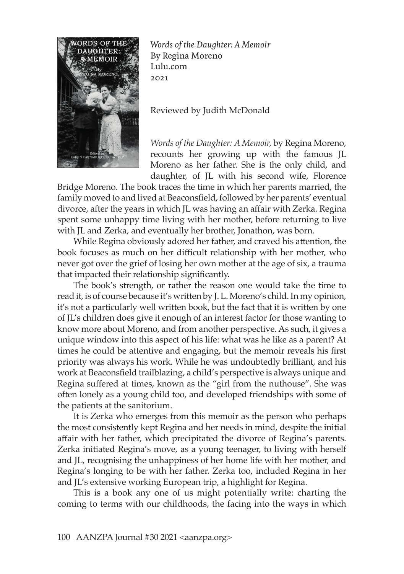

*Words of the Daughter: A Memoir* By Regina Moreno Lulu.com 2021

Reviewed by Judith McDonald

*Words of the Daughter: A Memoir,* by Regina Moreno, recounts her growing up with the famous JL Moreno as her father. She is the only child, and daughter, of JL with his second wife, Florence

Bridge Moreno. The book traces the time in which her parents married, the family moved to and lived at Beaconsfield, followed by her parents' eventual divorce, after the years in which JL was having an affair with Zerka. Regina spent some unhappy time living with her mother, before returning to live with JL and Zerka, and eventually her brother, Jonathon, was born.

While Regina obviously adored her father, and craved his attention, the book focuses as much on her difficult relationship with her mother, who never got over the grief of losing her own mother at the age of six, a trauma that impacted their relationship significantly.

The book's strength, or rather the reason one would take the time to read it, is of course because it's written by J. L. Moreno's child. In my opinion, it's not a particularly well written book, but the fact that it is written by one of JL's children does give it enough of an interest factor for those wanting to know more about Moreno, and from another perspective. As such, it gives a unique window into this aspect of his life: what was he like as a parent? At times he could be attentive and engaging, but the memoir reveals his first priority was always his work. While he was undoubtedly brilliant, and his work at Beaconsfield trailblazing, a child's perspective is always unique and Regina suffered at times, known as the "girl from the nuthouse". She was often lonely as a young child too, and developed friendships with some of the patients at the sanitorium.

It is Zerka who emerges from this memoir as the person who perhaps the most consistently kept Regina and her needs in mind, despite the initial affair with her father, which precipitated the divorce of Regina's parents. Zerka initiated Regina's move, as a young teenager, to living with herself and JL, recognising the unhappiness of her home life with her mother, and Regina's longing to be with her father. Zerka too, included Regina in her and JL's extensive working European trip, a highlight for Regina.

This is a book any one of us might potentially write: charting the coming to terms with our childhoods, the facing into the ways in which